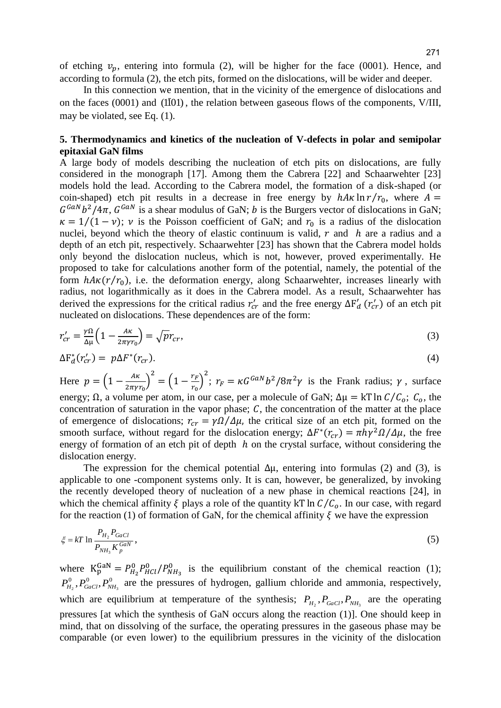of etching  $v_p$ , entering into formula (2), will be higher for the face (0001). Hence, and according to formula (2), the etch pits, formed on the dislocations, will be wider and deeper.

In this connection we mention, that in the vicinity of the emergence of dislocations and on the faces  $(0001)$  and  $(1\overline{1}01)$ , the relation between gaseous flows of the components, V/III, may be violated, see Eq. (1).

## **5. Thermodynamics and kinetics of the nucleation of V-defects in polar and semipolar epitaxial GaN films**

A large body of models describing the nucleation of etch pits on dislocations, are fully considered in the monograph [17]. Among them the Cabrera [22] and Schaarwehter [23] models hold the lead. According to the Cabrera model, the formation of a disk-shaped (or coin-shaped) etch pit results in a decrease in free energy by  $hA\kappa \ln r/r_0$ , where  $A =$  $G^{GAN}b^2/4\pi$ ,  $G^{GAN}$  is a shear modulus of GaN; b is the Burgers vector of dislocations in GaN;  $\kappa = 1/(1 - \nu)$ ;  $\nu$  is the Poisson coefficient of GaN; and  $r_0$  is a radius of the dislocation nuclei, beyond which the theory of elastic continuum is valid,  $r$  and  $h$  are a radius and a depth of an etch pit, respectively. Schaarwehter [23] has shown that the Cabrera model holds only beyond the dislocation nucleus, which is not, however, proved experimentally. He proposed to take for calculations another form of the potential, namely, the potential of the form  $hA\kappa(r/r_0)$ , i.e. the deformation energy, along Schaarwehter, increases linearly with radius, not logarithmically as it does in the Cabrera model. As a result, Schaarwehter has derived the expressions for the critical radius  $r'_{cr}$  and the free energy  $\Delta F'_{d}(r'_{cr})$  of an etch pit nucleated on dislocations. These dependences are of the form:

$$
r'_{cr} = \frac{v\Omega}{\Delta \mu} \Big( 1 - \frac{A\kappa}{2\pi \gamma r_0} \Big) = \sqrt{p} r_{cr},\tag{3}
$$

$$
\Delta F_d^*(r'_{cr}) = p\Delta F^*(r_{cr}).\tag{4}
$$

Here  $p = \left(1 - \frac{A}{2}\right)$  $\left(\frac{A\kappa}{2\pi\gamma r_0}\right)^2 = \left(1 - \frac{r}{r}\right)$  $\left(\frac{r_F}{r_0}\right)^2$ ;  $r_F = \kappa G^{GAN} b^2 / 8\pi^2 \gamma$  is the Frank radius;  $\gamma$ , surface energy;  $\Omega$ , a volume per atom, in our case, per a molecule of GaN;  $\Delta \mu = kT \ln C/C_o$ ;  $C_o$ , the concentration of saturation in the vapor phase;  $C$ , the concentration of the matter at the place of emergence of dislocations;  $r_{cr} = \gamma \Omega / \Delta \mu$ , the critical size of an etch pit, formed on the smooth surface, without regard for the dislocation energy;  $\Delta F^*(r_{cr}) = \pi h \gamma^2 \Omega / \Delta \mu$ , the free energy of formation of an etch pit of depth  $h$  on the crystal surface, without considering the dislocation energy.

The expression for the chemical potential  $\Delta \mu$ , entering into formulas (2) and (3), is applicable to one -component systems only. It is can, however, be generalized, by invoking the recently developed theory of nucleation of a new phase in chemical reactions [24], in which the chemical affinity  $\xi$  plays a role of the quantity  $kT \ln C/C_0$ . In our case, with regard for the reaction (1) of formation of GaN, for the chemical affinity  $\xi$  we have the expression

$$
\xi = kT \ln \frac{P_{H_2} P_{GaCl}}{P_{NH_3} K_p^{GaN}},\tag{5}
$$

where  $K_p^{\text{GAN}} = P_{H_2}^0 P_{HCl}^0 / P_{NH_2}^0$  is the equilibrium constant of the chemical reaction (1);  $0$   $\mathbf{D}^0$   $\mathbf{D}^0$  $P_{H_2}^0$ ,  $P_{GaCl}^0$ ,  $P_{NH_3}^0$  are the pressures of hydrogen, gallium chloride and ammonia, respectively, which are equilibrium at temperature of the synthesis;  $P_{H_2}, P_{GaCl}, P_{NH_3}$  are the operating pressures [at which the synthesis of GaN occurs along the reaction (1)]. One should keep in mind, that on dissolving of the surface, the operating pressures in the gaseous phase may be comparable (or even lower) to the equilibrium pressures in the vicinity of the dislocation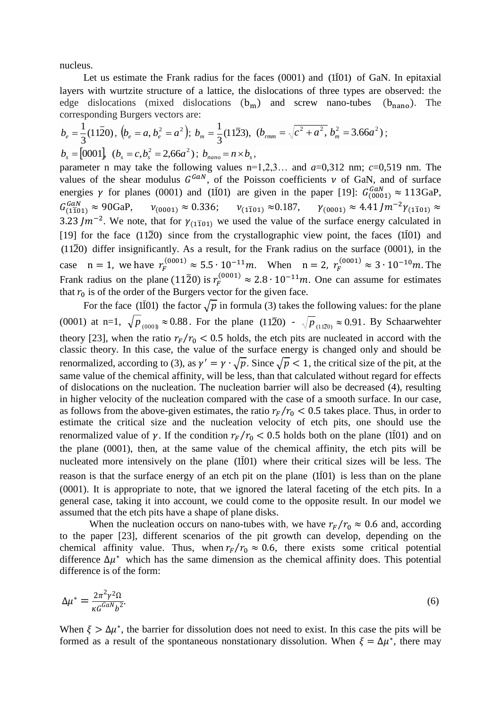nucleus.

Let us estimate the Frank radius for the faces  $(0001)$  and  $(1\bar{1}01)$  of GaN. In epitaxial layers with wurtzite structure of a lattice, the dislocations of three types are observed: the edge dislocations (mixed dislocations  $(b_m)$  and screw nano-tubes  $(b_{nano})$ . The corresponding Burgers vectors are:

$$
b_e = \frac{1}{3}(11\overline{2}0), (b_e = a, b_e^2 = a^2); b_m = \frac{1}{3}(11\overline{2}3), (b_{mm} = \sqrt{c^2 + a^2}, b_m^2 = 3.66a^2);
$$
  

$$
b_s = [0001], (b_s = c, b_s^2 = 2,66a^2); b_{nano} = n \times b_s,
$$

parameter n may take the following values  $n=1,2,3...$  and  $a=0,312$  nm;  $c=0,519$  nm. The values of the shear modulus  $G^{GAN}$ , of the Poisson coefficients  $\nu$  of GaN, and of surface energies  $\gamma$  for planes (0001) and (1101) are given in the paper [19]:  $G_{(0001)}^{GaN} \approx 113 \text{GaP}$ ,  $G_{(1\bar{1}01)}^{GaN} \approx 90$ GaP,  $v_{(0001)} \approx 0.336$ ;  $v_{(1\bar{1}01)} \approx 0.187$ ,  $v_{(0001)} \approx 4.41$   $\int m^{-2}v_{(1\bar{1}0)}$ 3.23 Jm<sup>-2</sup>. We note, that for  $\gamma_{(1\bar{1}01)}$  we used the value of the surface energy calculated in [19] for the face  $(11\overline{2}0)$  since from the crystallographic view point, the faces  $(1\overline{1}01)$  and  $(11\overline{2}0)$  differ insignificantly. As a result, for the Frank radius on the surface  $(0001)$ , in the case  $n = 1$ , we have  $r_F^{(0001)} \approx 5.5 \cdot 10^{-11} m$ . When  $n = 2$ ,  $r_F^{(0001)} \approx 3 \cdot 10^{-10} m$ . The Frank radius on the plane (1120) is  $r_F^{(0001)} \approx 2.8 \cdot 10^{-11} m$ . One can assume for estimates that  $r_0$  is of the order of the Burgers vector for the given face.

For the face (1101) the factor  $\sqrt{p}$  in formula (3) takes the following values: for the plane (0001) at n=1,  $\sqrt{p}_{(000)} \approx 0.88$ . For the plane (1120) -  $\sqrt{p}_{(1120)} \approx 0.91$ . By Schaarwehter theory [23], when the ratio  $r_F/r_0 < 0.5$  holds, the etch pits are nucleated in accord with the classic theory. In this case, the value of the surface energy is changed only and should be renormalized, according to (3), as  $\gamma' = \gamma \cdot \sqrt{p}$ . Since  $\sqrt{p} < 1$ , the critical size of the pit, at the same value of the chemical affinity, will be less, than that calculated without regard for effects of dislocations on the nucleation. The nucleation barrier will also be decreased (4), resulting in higher velocity of the nucleation compared with the case of a smooth surface. In our case, as follows from the above-given estimates, the ratio  $r_F/r_0 < 0.5$  takes place. Thus, in order to estimate the critical size and the nucleation velocity of etch pits, one should use the renormalized value of  $\gamma$ . If the condition  $r_F/r_0 < 0.5$  holds both on the plane (1101) and on the plane (0001), then, at the same value of the chemical affinity, the etch pits will be nucleated more intensively on the plane  $(1\bar{1}01)$  where their critical sizes will be less. The reason is that the surface energy of an etch pit on the plane  $(1\bar{1}01)$  is less than on the plane (0001). It is appropriate to note, that we ignored the lateral faceting of the etch pits. In a general case, taking it into account, we could come to the opposite result. In our model we assumed that the etch pits have a shape of plane disks.

When the nucleation occurs on nano-tubes with, we have  $r_F/r_0 \approx 0.6$  and, according to the paper [23], different scenarios of the pit growth can develop, depending on the chemical affinity value. Thus, when  $r_F/r_0 \approx 0.6$ , there exists some critical potential difference  $\Delta \mu^*$  which has the same dimension as the chemical affinity does. This potential difference is of the form:

$$
\Delta \mu^* = \frac{2\pi^2 \gamma^2 \Omega}{\kappa G^{GAN} b^2}.
$$
\n<sup>(6)</sup>

When  $\xi > \Delta \mu^*$ , the barrier for dissolution does not need to exist. In this case the pits will be formed as a result of the spontaneous nonstationary dissolution. When  $\xi = \Delta \mu^*$ , there may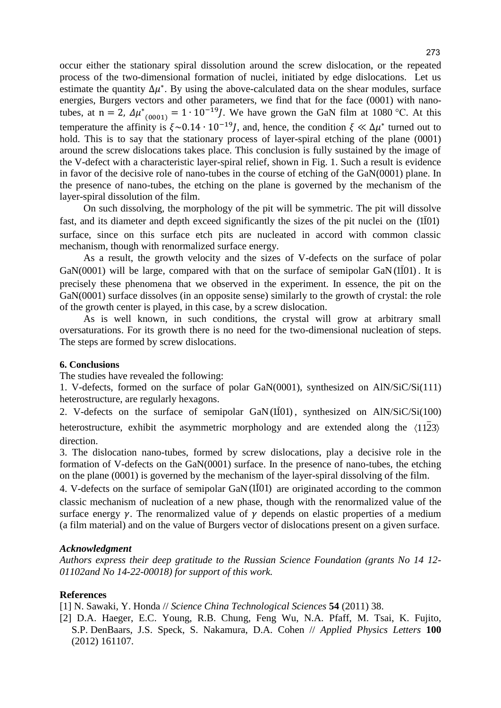occur either the stationary spiral dissolution around the screw dislocation, or the repeated process of the two-dimensional formation of nuclei, initiated by edge dislocations. Let us estimate the quantity  $\Delta \mu^*$ . By using the above-calculated data on the shear modules, surface energies, Burgers vectors and other parameters, we find that for the face (0001) with nanotubes, at n = 2,  $\Delta \mu^*_{(0001)} = 1 \cdot 10^{-19} J$ . We have grown the GaN film at 1080 °C. At this temperature the affinity is  $\xi \sim 0.14 \cdot 10^{-19} J$ , and, hence, the condition  $\xi \ll \Delta \mu^*$  turned out to hold. This is to say that the stationary process of layer-spiral etching of the plane (0001) around the screw dislocations takes place. This conclusion is fully sustained by the image of the V-defect with a characteristic layer-spiral relief, shown in Fig. 1. Such a result is evidence in favor of the decisive role of nano-tubes in the course of etching of the GaN(0001) plane. In the presence of nano-tubes, the etching on the plane is governed by the mechanism of the layer-spiral dissolution of the film.

On such dissolving, the morphology of the pit will be symmetric. The pit will dissolve fast, and its diameter and depth exceed significantly the sizes of the pit nuclei on the  $(1\overline{1}01)$ surface, since on this surface etch pits are nucleated in accord with common classic mechanism, though with renormalized surface energy.

As a result, the growth velocity and the sizes of V-defects on the surface of polar GaN(0001) will be large, compared with that on the surface of semipolar GaN( $1\overline{1}01$ ). It is precisely these phenomena that we observed in the experiment. In essence, the pit on the GaN(0001) surface dissolves (in an opposite sense) similarly to the growth of crystal: the role of the growth center is played, in this case, by a screw dislocation.

As is well known, in such conditions, the crystal will grow at arbitrary small oversaturations. For its growth there is no need for the two-dimensional nucleation of steps. The steps are formed by screw dislocations.

## **6. Conclusions**

The studies have revealed the following:

1. V-defects, formed on the surface of polar GaN(0001), synthesized on AlN/SiC/Si(111) heterostructure, are regularly hexagons.

2. V-defects on the surface of semipolar  $GaN(I\bar{I}01)$ , synthesized on  $AlN/SiC/Si(100)$ heterostructure, exhibit the asymmetric morphology and are extended along the  $\langle 1123 \rangle$ direction.

3. The dislocation nano-tubes, formed by screw dislocations, play a decisive role in the formation of V-defects on the GaN(0001) surface. In the presence of nano-tubes, the etching on the plane (0001) is governed by the mechanism of the layer-spiral dissolving of the film.

4. V-defects on the surface of semipolar  $GaN(1\bar{1}01)$  are originated according to the common classic mechanism of nucleation of a new phase, though with the renormalized value of the surface energy  $\gamma$ . The renormalized value of  $\gamma$  depends on elastic properties of a medium (a film material) and on the value of Burgers vector of dislocations present on a given surface.

## *Acknowledgment*

*Authors express their deep gratitude to the Russian Science Foundation (grants No 14 12- 01102and No 14-22-00018) for support of this work.* 

## **References**

[1] N. Sawaki, Y. Honda // *Science China Technological Sciences* **54** (2011) 38.

[2] D.A. Haeger, E[.C. Young,](http://scitation.aip.org/content/contributor/AU0282811) [R.B. Chung,](http://scitation.aip.org/content/contributor/AU0282814) [Feng Wu,](http://scitation.aip.org/content/contributor/AU0227421) [N.A. Pfaff,](http://scitation.aip.org/content/contributor/AU0282818) [M. Tsai,](http://scitation.aip.org/content/contributor/AU0282819) [K. Fujito,](http://scitation.aip.org/content/contributor/AU0282821) [S.P. DenBaars,](http://scitation.aip.org/content/contributor/AU0264733) [J.S. Speck,](http://scitation.aip.org/content/contributor/AU0264732) [S. Nakamura,](http://scitation.aip.org/content/contributor/AU0282289) [D.A. Cohen](http://scitation.aip.org/content/contributor/AU0282823) // *Applied Physics Letters* **100** (2012) 161107.